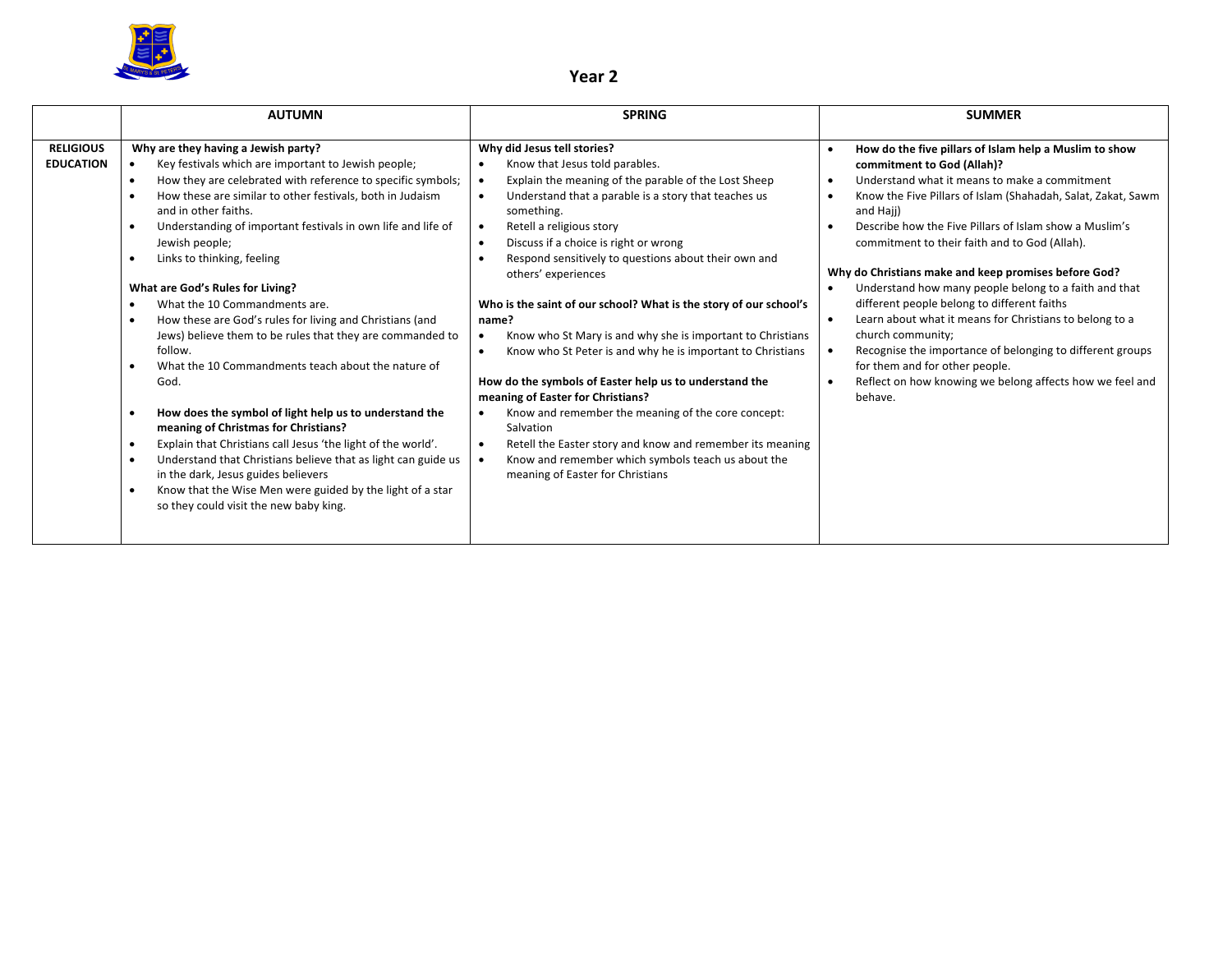

## **Year 2**

|                                      | <b>AUTUMN</b>                                                                                                                                                                                                                                                                                                                                                                                                                                                                                                                                                                                                                                                                                                                                                                                                                                                                                                                                                                                                                                                                                        | <b>SPRING</b>                                                                                                                                                                                                                                                                                                                                                                                                                                                                                                                                                                                                                                                                                                                                                                                                                                                                                                                                                                              | <b>SUMMER</b>                                                                                                                                                                                                                                                                                                                                                                                                                                                                                                                                                                                                                                                                                                                                                                                                        |
|--------------------------------------|------------------------------------------------------------------------------------------------------------------------------------------------------------------------------------------------------------------------------------------------------------------------------------------------------------------------------------------------------------------------------------------------------------------------------------------------------------------------------------------------------------------------------------------------------------------------------------------------------------------------------------------------------------------------------------------------------------------------------------------------------------------------------------------------------------------------------------------------------------------------------------------------------------------------------------------------------------------------------------------------------------------------------------------------------------------------------------------------------|--------------------------------------------------------------------------------------------------------------------------------------------------------------------------------------------------------------------------------------------------------------------------------------------------------------------------------------------------------------------------------------------------------------------------------------------------------------------------------------------------------------------------------------------------------------------------------------------------------------------------------------------------------------------------------------------------------------------------------------------------------------------------------------------------------------------------------------------------------------------------------------------------------------------------------------------------------------------------------------------|----------------------------------------------------------------------------------------------------------------------------------------------------------------------------------------------------------------------------------------------------------------------------------------------------------------------------------------------------------------------------------------------------------------------------------------------------------------------------------------------------------------------------------------------------------------------------------------------------------------------------------------------------------------------------------------------------------------------------------------------------------------------------------------------------------------------|
| <b>RELIGIOUS</b><br><b>EDUCATION</b> | Why are they having a Jewish party?<br>Key festivals which are important to Jewish people;<br>How they are celebrated with reference to specific symbols;<br>$\bullet$<br>How these are similar to other festivals, both in Judaism<br>$\bullet$<br>and in other faiths.<br>Understanding of important festivals in own life and life of<br>$\bullet$<br>Jewish people;<br>Links to thinking, feeling<br>What are God's Rules for Living?<br>What the 10 Commandments are.<br>How these are God's rules for living and Christians (and<br>$\bullet$<br>Jews) believe them to be rules that they are commanded to<br>follow.<br>What the 10 Commandments teach about the nature of<br>God.<br>How does the symbol of light help us to understand the<br>meaning of Christmas for Christians?<br>Explain that Christians call Jesus 'the light of the world'.<br>$\bullet$<br>Understand that Christians believe that as light can guide us<br>$\bullet$<br>in the dark, Jesus guides believers<br>Know that the Wise Men were guided by the light of a star<br>so they could visit the new baby king. | Why did Jesus tell stories?<br>Know that Jesus told parables.<br>Explain the meaning of the parable of the Lost Sheep<br>$\bullet$<br>Understand that a parable is a story that teaches us<br>$\bullet$<br>something.<br>Retell a religious story<br>$\bullet$<br>Discuss if a choice is right or wrong<br>$\bullet$<br>Respond sensitively to questions about their own and<br>others' experiences<br>Who is the saint of our school? What is the story of our school's<br>name?<br>Know who St Mary is and why she is important to Christians<br>$\bullet$<br>Know who St Peter is and why he is important to Christians<br>$\bullet$<br>How do the symbols of Easter help us to understand the<br>meaning of Easter for Christians?<br>Know and remember the meaning of the core concept:<br>$\bullet$<br>Salvation<br>Retell the Easter story and know and remember its meaning<br>Know and remember which symbols teach us about the<br>$\bullet$<br>meaning of Easter for Christians | How do the five pillars of Islam help a Muslim to show<br>commitment to God (Allah)?<br>Understand what it means to make a commitment<br>$\bullet$<br>Know the Five Pillars of Islam (Shahadah, Salat, Zakat, Sawm<br>$\bullet$<br>and Haji)<br>Describe how the Five Pillars of Islam show a Muslim's<br>commitment to their faith and to God (Allah).<br>Why do Christians make and keep promises before God?<br>Understand how many people belong to a faith and that<br>different people belong to different faiths<br>Learn about what it means for Christians to belong to a<br>$\bullet$<br>church community;<br>Recognise the importance of belonging to different groups<br>$\bullet$<br>for them and for other people.<br>Reflect on how knowing we belong affects how we feel and<br>$\bullet$<br>behave. |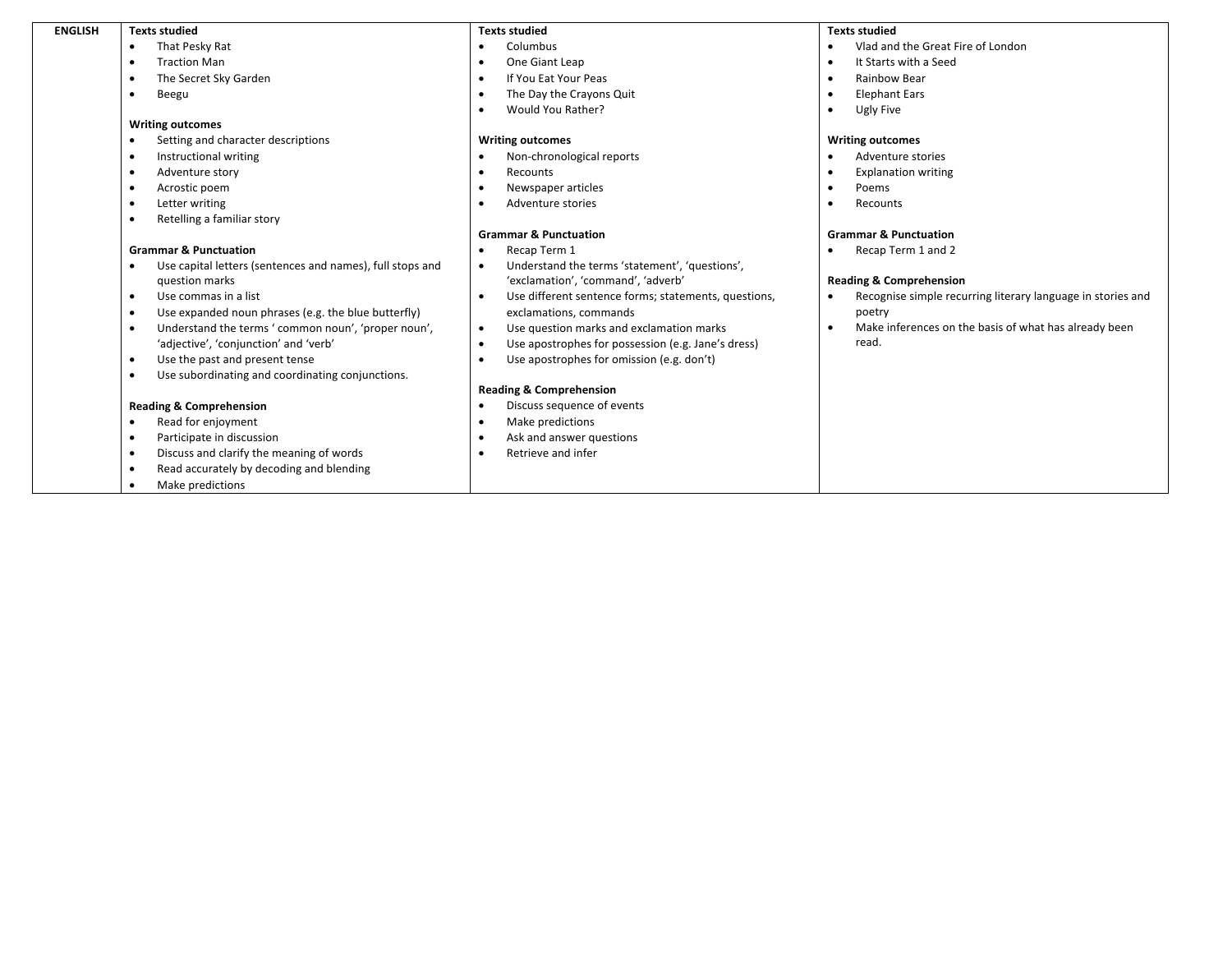| <b>ENGLISH</b> | <b>Texts studied</b>                                             | <b>Texts studied</b>                                              | <b>Texts studied</b>                                                     |
|----------------|------------------------------------------------------------------|-------------------------------------------------------------------|--------------------------------------------------------------------------|
|                | That Pesky Rat                                                   | Columbus                                                          | Vlad and the Great Fire of London                                        |
|                | <b>Traction Man</b>                                              | One Giant Leap                                                    | It Starts with a Seed                                                    |
|                | The Secret Sky Garden                                            | If You Eat Your Peas                                              | Rainbow Bear<br>$\bullet$                                                |
|                | Beegu<br>$\bullet$                                               | The Day the Crayons Quit                                          | <b>Elephant Ears</b><br>$\bullet$                                        |
|                |                                                                  | Would You Rather?                                                 | Ugly Five                                                                |
|                | <b>Writing outcomes</b>                                          |                                                                   |                                                                          |
|                | Setting and character descriptions                               | <b>Writing outcomes</b>                                           | <b>Writing outcomes</b>                                                  |
|                | Instructional writing                                            | Non-chronological reports                                         | Adventure stories                                                        |
|                | Adventure story<br>$\bullet$                                     | Recounts                                                          | <b>Explanation writing</b><br>$\bullet$                                  |
|                | Acrostic poem                                                    | Newspaper articles                                                | Poems<br>$\bullet$                                                       |
|                | Letter writing<br>$\bullet$                                      | Adventure stories                                                 | Recounts                                                                 |
|                | Retelling a familiar story                                       |                                                                   |                                                                          |
|                |                                                                  | <b>Grammar &amp; Punctuation</b>                                  | <b>Grammar &amp; Punctuation</b>                                         |
|                | <b>Grammar &amp; Punctuation</b>                                 | Recap Term 1                                                      | Recap Term 1 and 2                                                       |
|                | Use capital letters (sentences and names), full stops and        | Understand the terms 'statement', 'questions',<br>$\bullet$       |                                                                          |
|                | question marks                                                   | 'exclamation', 'command', 'adverb'                                | <b>Reading &amp; Comprehension</b>                                       |
|                | Use commas in a list<br>$\bullet$                                | Use different sentence forms; statements, questions,<br>$\bullet$ | Recognise simple recurring literary language in stories and<br>$\bullet$ |
|                | Use expanded noun phrases (e.g. the blue butterfly)<br>- 0       | exclamations, commands                                            | poetry                                                                   |
|                | Understand the terms ' common noun', 'proper noun',<br>$\bullet$ | Use question marks and exclamation marks<br>$\bullet$             | Make inferences on the basis of what has already been<br>$\bullet$       |
|                | 'adjective', 'conjunction' and 'verb'                            | Use apostrophes for possession (e.g. Jane's dress)                | read.                                                                    |
|                | Use the past and present tense<br>$\bullet$                      | Use apostrophes for omission (e.g. don't)                         |                                                                          |
|                | Use subordinating and coordinating conjunctions.                 |                                                                   |                                                                          |
|                |                                                                  | <b>Reading &amp; Comprehension</b>                                |                                                                          |
|                | <b>Reading &amp; Comprehension</b>                               | Discuss sequence of events                                        |                                                                          |
|                | Read for enjoyment                                               | Make predictions                                                  |                                                                          |
|                | Participate in discussion<br>$\bullet$                           | Ask and answer questions                                          |                                                                          |
|                | Discuss and clarify the meaning of words<br>$\bullet$            | Retrieve and infer                                                |                                                                          |
|                | Read accurately by decoding and blending                         |                                                                   |                                                                          |
|                | Make predictions                                                 |                                                                   |                                                                          |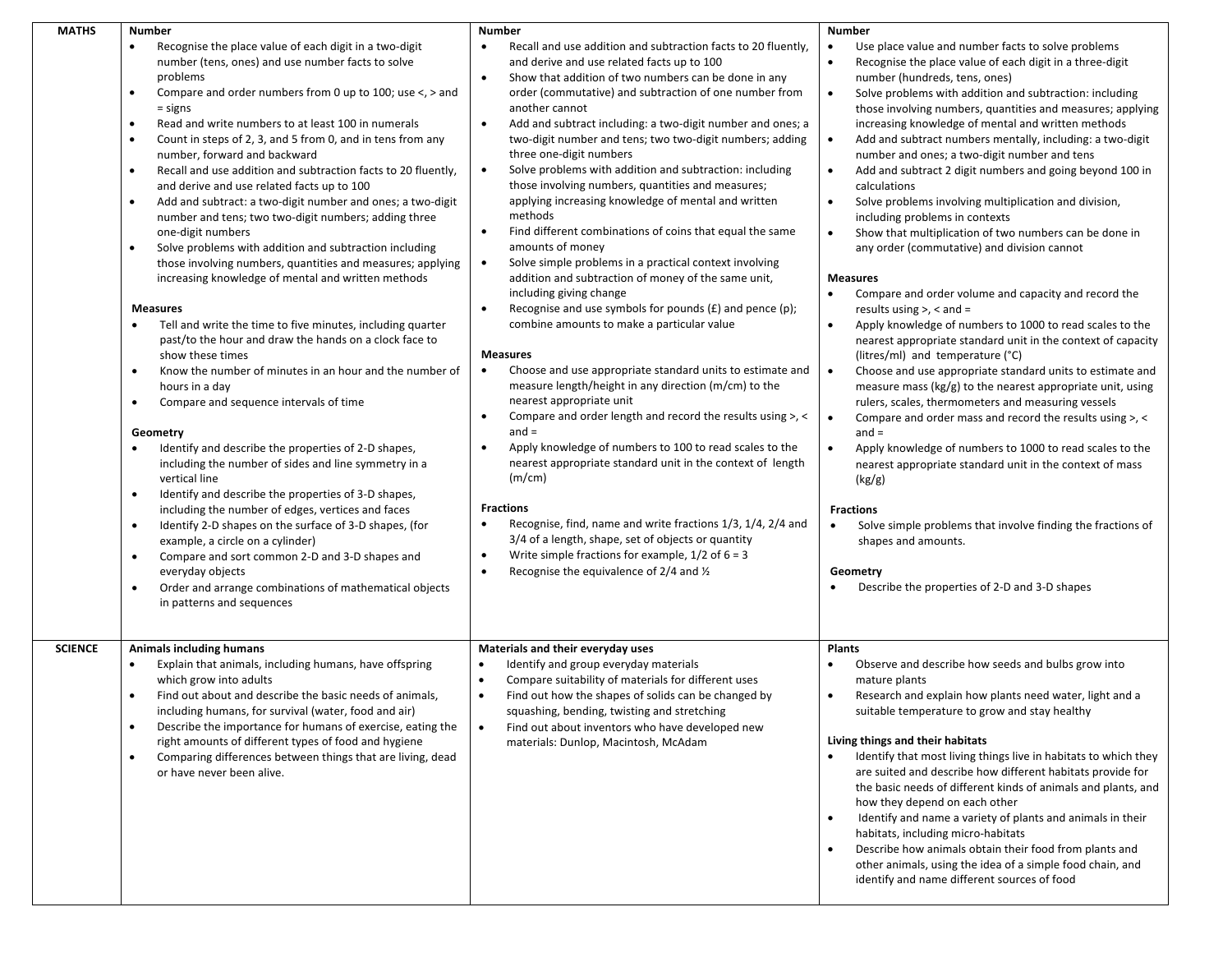| <b>MATHS</b>   | <b>Number</b>                                                                                                                                                                                                                                                                                                                                                                                                                                                                                                                                                                                                                                                                                                                                                                                                                                                                                                                                                                                                                                                                                                                                                                                                                                                                                                                                                                                                                                                                                                                                                                                                                                                                                                                                                            | <b>Number</b>                                                                                                                                                                                                                                                                                                                                                                                                                                                                                                                                                                                                                                                                                                                                                                                                                                                                                                                                                                                                                                                                                                                                                                                                                                                                                                                                                                                                                                                                                                                                                                                                                                                                                             | <b>Number</b>                                                                                                                                                                                                                                                                                                                                                                                                                                                                                                                                                                                                                                                                                                                                                                                                                                                                                                                                                                                                                                                                                                                                                                                                                                                                                                                                                                                                                                                                                                                                                                                                                                                                                                                              |
|----------------|--------------------------------------------------------------------------------------------------------------------------------------------------------------------------------------------------------------------------------------------------------------------------------------------------------------------------------------------------------------------------------------------------------------------------------------------------------------------------------------------------------------------------------------------------------------------------------------------------------------------------------------------------------------------------------------------------------------------------------------------------------------------------------------------------------------------------------------------------------------------------------------------------------------------------------------------------------------------------------------------------------------------------------------------------------------------------------------------------------------------------------------------------------------------------------------------------------------------------------------------------------------------------------------------------------------------------------------------------------------------------------------------------------------------------------------------------------------------------------------------------------------------------------------------------------------------------------------------------------------------------------------------------------------------------------------------------------------------------------------------------------------------------|-----------------------------------------------------------------------------------------------------------------------------------------------------------------------------------------------------------------------------------------------------------------------------------------------------------------------------------------------------------------------------------------------------------------------------------------------------------------------------------------------------------------------------------------------------------------------------------------------------------------------------------------------------------------------------------------------------------------------------------------------------------------------------------------------------------------------------------------------------------------------------------------------------------------------------------------------------------------------------------------------------------------------------------------------------------------------------------------------------------------------------------------------------------------------------------------------------------------------------------------------------------------------------------------------------------------------------------------------------------------------------------------------------------------------------------------------------------------------------------------------------------------------------------------------------------------------------------------------------------------------------------------------------------------------------------------------------------|--------------------------------------------------------------------------------------------------------------------------------------------------------------------------------------------------------------------------------------------------------------------------------------------------------------------------------------------------------------------------------------------------------------------------------------------------------------------------------------------------------------------------------------------------------------------------------------------------------------------------------------------------------------------------------------------------------------------------------------------------------------------------------------------------------------------------------------------------------------------------------------------------------------------------------------------------------------------------------------------------------------------------------------------------------------------------------------------------------------------------------------------------------------------------------------------------------------------------------------------------------------------------------------------------------------------------------------------------------------------------------------------------------------------------------------------------------------------------------------------------------------------------------------------------------------------------------------------------------------------------------------------------------------------------------------------------------------------------------------------|
|                | Recognise the place value of each digit in a two-digit<br>$\bullet$<br>number (tens, ones) and use number facts to solve<br>problems<br>Compare and order numbers from 0 up to 100; use $\lt$ , $>$ and<br>$\bullet$<br>$=$ signs<br>Read and write numbers to at least 100 in numerals<br>$\bullet$<br>Count in steps of 2, 3, and 5 from 0, and in tens from any<br>$\bullet$<br>number, forward and backward<br>Recall and use addition and subtraction facts to 20 fluently,<br>$\bullet$<br>and derive and use related facts up to 100<br>Add and subtract: a two-digit number and ones; a two-digit<br>$\bullet$<br>number and tens; two two-digit numbers; adding three<br>one-digit numbers<br>Solve problems with addition and subtraction including<br>$\bullet$<br>those involving numbers, quantities and measures; applying<br>increasing knowledge of mental and written methods<br><b>Measures</b><br>Tell and write the time to five minutes, including quarter<br>past/to the hour and draw the hands on a clock face to<br>show these times<br>Know the number of minutes in an hour and the number of<br>$\bullet$<br>hours in a day<br>Compare and sequence intervals of time<br>$\bullet$<br>Geometry<br>Identify and describe the properties of 2-D shapes,<br>including the number of sides and line symmetry in a<br>vertical line<br>Identify and describe the properties of 3-D shapes,<br>$\bullet$<br>including the number of edges, vertices and faces<br>Identify 2-D shapes on the surface of 3-D shapes, (for<br>$\bullet$<br>example, a circle on a cylinder)<br>Compare and sort common 2-D and 3-D shapes and<br>$\bullet$<br>everyday objects<br>Order and arrange combinations of mathematical objects<br>in patterns and sequences | Recall and use addition and subtraction facts to 20 fluently,<br>and derive and use related facts up to 100<br>Show that addition of two numbers can be done in any<br>$\bullet$<br>order (commutative) and subtraction of one number from<br>another cannot<br>Add and subtract including: a two-digit number and ones; a<br>$\bullet$<br>two-digit number and tens; two two-digit numbers; adding<br>three one-digit numbers<br>Solve problems with addition and subtraction: including<br>$\bullet$<br>those involving numbers, quantities and measures;<br>applying increasing knowledge of mental and written<br>methods<br>Find different combinations of coins that equal the same<br>$\bullet$<br>amounts of money<br>Solve simple problems in a practical context involving<br>$\bullet$<br>addition and subtraction of money of the same unit,<br>including giving change<br>Recognise and use symbols for pounds $(E)$ and pence $(p)$ ;<br>$\bullet$<br>combine amounts to make a particular value<br><b>Measures</b><br>Choose and use appropriate standard units to estimate and<br>$\bullet$<br>measure length/height in any direction (m/cm) to the<br>nearest appropriate unit<br>Compare and order length and record the results using >, <<br>٠<br>$and =$<br>Apply knowledge of numbers to 100 to read scales to the<br>$\bullet$<br>nearest appropriate standard unit in the context of length<br>(m/cm)<br><b>Fractions</b><br>Recognise, find, name and write fractions 1/3, 1/4, 2/4 and<br>٠<br>3/4 of a length, shape, set of objects or quantity<br>Write simple fractions for example, $1/2$ of $6 = 3$<br>$\bullet$<br>Recognise the equivalence of 2/4 and 1/2<br>$\bullet$ | Use place value and number facts to solve problems<br>Recognise the place value of each digit in a three-digit<br>$\bullet$<br>number (hundreds, tens, ones)<br>Solve problems with addition and subtraction: including<br>$\bullet$<br>those involving numbers, quantities and measures; applying<br>increasing knowledge of mental and written methods<br>$\bullet$<br>Add and subtract numbers mentally, including: a two-digit<br>number and ones; a two-digit number and tens<br>Add and subtract 2 digit numbers and going beyond 100 in<br>$\bullet$<br>calculations<br>Solve problems involving multiplication and division,<br>$\bullet$<br>including problems in contexts<br>Show that multiplication of two numbers can be done in<br>$\bullet$<br>any order (commutative) and division cannot<br><b>Measures</b><br>Compare and order volume and capacity and record the<br>$\bullet$<br>results using $>$ , $<$ and $=$<br>Apply knowledge of numbers to 1000 to read scales to the<br>$\bullet$<br>nearest appropriate standard unit in the context of capacity<br>(litres/ml) and temperature (°C)<br>$\bullet$<br>Choose and use appropriate standard units to estimate and<br>measure mass ( $kg/g$ ) to the nearest appropriate unit, using<br>rulers, scales, thermometers and measuring vessels<br>Compare and order mass and record the results using >, <<br>$\bullet$<br>$and =$<br>Apply knowledge of numbers to 1000 to read scales to the<br>$\bullet$<br>nearest appropriate standard unit in the context of mass<br>(kg/g)<br><b>Fractions</b><br>Solve simple problems that involve finding the fractions of<br>$\bullet$<br>shapes and amounts.<br>Geometry<br>Describe the properties of 2-D and 3-D shapes |
| <b>SCIENCE</b> | <b>Animals including humans</b><br>Explain that animals, including humans, have offspring<br>$\bullet$<br>which grow into adults<br>Find out about and describe the basic needs of animals,<br>$\bullet$<br>including humans, for survival (water, food and air)<br>Describe the importance for humans of exercise, eating the<br>right amounts of different types of food and hygiene<br>Comparing differences between things that are living, dead<br>$\bullet$<br>or have never been alive.                                                                                                                                                                                                                                                                                                                                                                                                                                                                                                                                                                                                                                                                                                                                                                                                                                                                                                                                                                                                                                                                                                                                                                                                                                                                           | Materials and their everyday uses<br>Identify and group everyday materials<br>$\bullet$<br>Compare suitability of materials for different uses<br>$\bullet$<br>Find out how the shapes of solids can be changed by<br>squashing, bending, twisting and stretching<br>Find out about inventors who have developed new<br>$\bullet$<br>materials: Dunlop, Macintosh, McAdam                                                                                                                                                                                                                                                                                                                                                                                                                                                                                                                                                                                                                                                                                                                                                                                                                                                                                                                                                                                                                                                                                                                                                                                                                                                                                                                                 | <b>Plants</b><br>Observe and describe how seeds and bulbs grow into<br>$\bullet$<br>mature plants<br>Research and explain how plants need water, light and a<br>٠<br>suitable temperature to grow and stay healthy<br>Living things and their habitats<br>Identify that most living things live in habitats to which they<br>are suited and describe how different habitats provide for<br>the basic needs of different kinds of animals and plants, and<br>how they depend on each other<br>Identify and name a variety of plants and animals in their<br>$\bullet$<br>habitats, including micro-habitats<br>Describe how animals obtain their food from plants and<br>other animals, using the idea of a simple food chain, and                                                                                                                                                                                                                                                                                                                                                                                                                                                                                                                                                                                                                                                                                                                                                                                                                                                                                                                                                                                                          |
|                |                                                                                                                                                                                                                                                                                                                                                                                                                                                                                                                                                                                                                                                                                                                                                                                                                                                                                                                                                                                                                                                                                                                                                                                                                                                                                                                                                                                                                                                                                                                                                                                                                                                                                                                                                                          |                                                                                                                                                                                                                                                                                                                                                                                                                                                                                                                                                                                                                                                                                                                                                                                                                                                                                                                                                                                                                                                                                                                                                                                                                                                                                                                                                                                                                                                                                                                                                                                                                                                                                                           | identify and name different sources of food                                                                                                                                                                                                                                                                                                                                                                                                                                                                                                                                                                                                                                                                                                                                                                                                                                                                                                                                                                                                                                                                                                                                                                                                                                                                                                                                                                                                                                                                                                                                                                                                                                                                                                |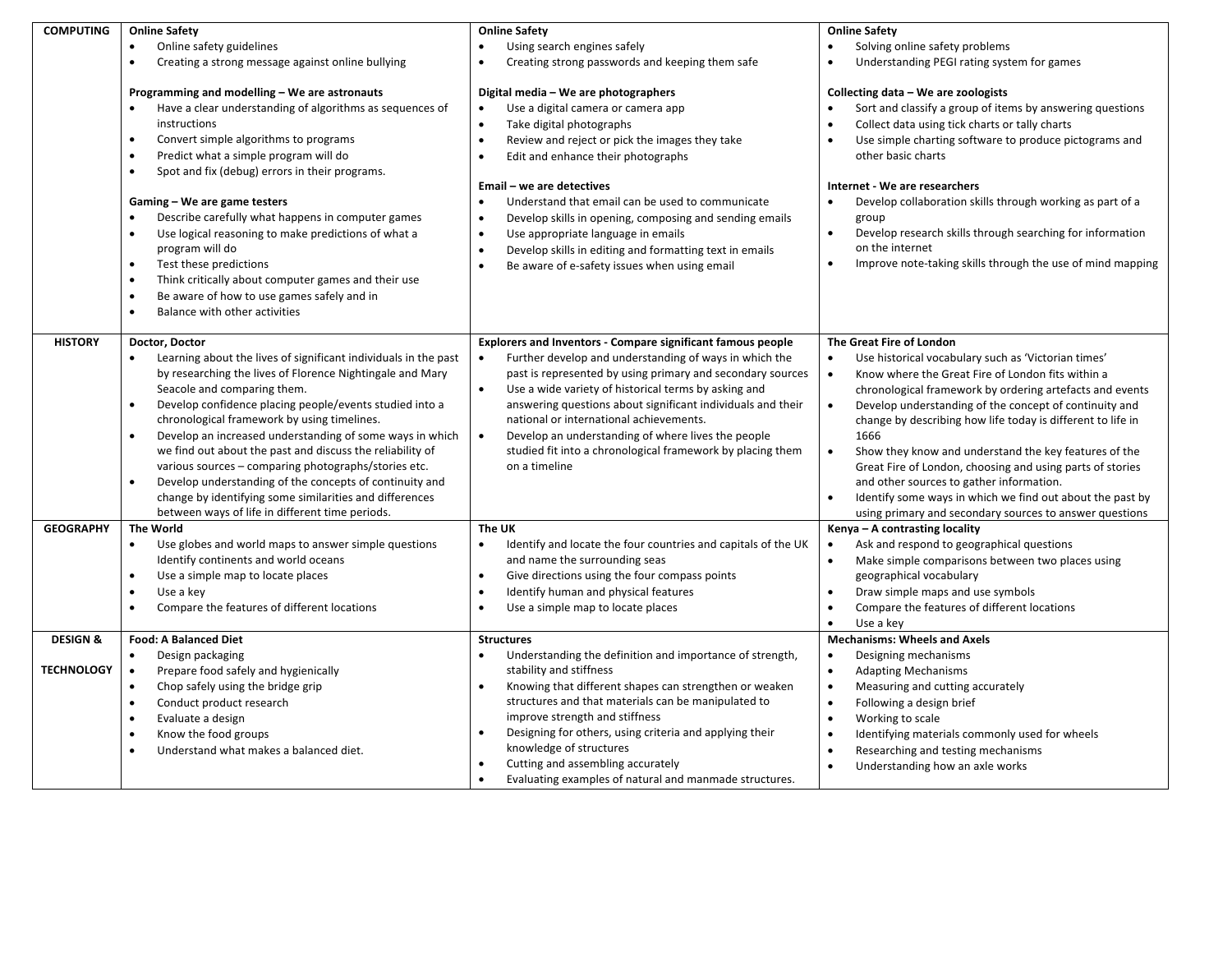| <b>Online Safety</b><br>Online safety guidelines<br>Creating a strong message against online bullying<br>$\bullet$                                                                                                                                                                                                                                                                                                                                                                                                                                                                                  | <b>Online Safety</b><br>Using search engines safely<br>Creating strong passwords and keeping them safe<br>$\bullet$                                                                                                                                                                                                                                                                                      | <b>Online Safety</b><br>Solving online safety problems<br>Understanding PEGI rating system for games                                                                                                                                                                                                                                                                                                                                                                                                                                                                                         |
|-----------------------------------------------------------------------------------------------------------------------------------------------------------------------------------------------------------------------------------------------------------------------------------------------------------------------------------------------------------------------------------------------------------------------------------------------------------------------------------------------------------------------------------------------------------------------------------------------------|----------------------------------------------------------------------------------------------------------------------------------------------------------------------------------------------------------------------------------------------------------------------------------------------------------------------------------------------------------------------------------------------------------|----------------------------------------------------------------------------------------------------------------------------------------------------------------------------------------------------------------------------------------------------------------------------------------------------------------------------------------------------------------------------------------------------------------------------------------------------------------------------------------------------------------------------------------------------------------------------------------------|
| Programming and modelling – We are astronauts<br>Have a clear understanding of algorithms as sequences of<br>instructions<br>Convert simple algorithms to programs<br>$\bullet$<br>Predict what a simple program will do<br>$\bullet$<br>Spot and fix (debug) errors in their programs.<br>$\bullet$                                                                                                                                                                                                                                                                                                | Digital media - We are photographers<br>Use a digital camera or camera app<br>$\bullet$<br>Take digital photographs<br>Review and reject or pick the images they take<br>Edit and enhance their photographs<br>$\bullet$                                                                                                                                                                                 | Collecting data - We are zoologists<br>Sort and classify a group of items by answering questions<br>$\bullet$<br>Collect data using tick charts or tally charts<br>Use simple charting software to produce pictograms and<br>$\bullet$<br>other basic charts                                                                                                                                                                                                                                                                                                                                 |
| Gaming - We are game testers<br>Describe carefully what happens in computer games<br>$\bullet$<br>Use logical reasoning to make predictions of what a<br>$\bullet$<br>program will do<br>Test these predictions<br>$\bullet$<br>$\bullet$<br>Think critically about computer games and their use<br>Be aware of how to use games safely and in<br>$\bullet$<br>Balance with other activities<br>$\bullet$                                                                                                                                                                                           | Understand that email can be used to communicate<br>Develop skills in opening, composing and sending emails<br>$\bullet$<br>Use appropriate language in emails<br>٠<br>Develop skills in editing and formatting text in emails<br>$\bullet$<br>Be aware of e-safety issues when using email                                                                                                              | Internet - We are researchers<br>Develop collaboration skills through working as part of a<br>group<br>$\bullet$<br>Develop research skills through searching for information<br>on the internet<br>$\bullet$<br>Improve note-taking skills through the use of mind mapping                                                                                                                                                                                                                                                                                                                  |
| Doctor, Doctor<br>Learning about the lives of significant individuals in the past                                                                                                                                                                                                                                                                                                                                                                                                                                                                                                                   | <b>Explorers and Inventors - Compare significant famous people</b><br>Further develop and understanding of ways in which the                                                                                                                                                                                                                                                                             | The Great Fire of London<br>Use historical vocabulary such as 'Victorian times'<br>$\bullet$                                                                                                                                                                                                                                                                                                                                                                                                                                                                                                 |
| by researching the lives of Florence Nightingale and Mary<br>Seacole and comparing them.<br>Develop confidence placing people/events studied into a<br>$\bullet$<br>chronological framework by using timelines.<br>Develop an increased understanding of some ways in which<br>$\bullet$<br>we find out about the past and discuss the reliability of<br>various sources - comparing photographs/stories etc.<br>Develop understanding of the concepts of continuity and<br>$\bullet$<br>change by identifying some similarities and differences<br>between ways of life in different time periods. | past is represented by using primary and secondary sources<br>Use a wide variety of historical terms by asking and<br>$\bullet$<br>answering questions about significant individuals and their<br>national or international achievements.<br>Develop an understanding of where lives the people<br>$\bullet$<br>studied fit into a chronological framework by placing them<br>on a timeline              | $\bullet$<br>Know where the Great Fire of London fits within a<br>chronological framework by ordering artefacts and events<br>$\bullet$<br>Develop understanding of the concept of continuity and<br>change by describing how life today is different to life in<br>1666<br>Show they know and understand the key features of the<br>$\bullet$<br>Great Fire of London, choosing and using parts of stories<br>and other sources to gather information.<br>$\bullet$<br>Identify some ways in which we find out about the past by<br>using primary and secondary sources to answer questions |
| The World                                                                                                                                                                                                                                                                                                                                                                                                                                                                                                                                                                                           | The UK                                                                                                                                                                                                                                                                                                                                                                                                   | Kenya - A contrasting locality                                                                                                                                                                                                                                                                                                                                                                                                                                                                                                                                                               |
| Use globes and world maps to answer simple questions<br>$\bullet$<br>Identify continents and world oceans<br>Use a simple map to locate places<br>$\bullet$<br>Use a key<br>Compare the features of different locations<br>$\bullet$                                                                                                                                                                                                                                                                                                                                                                | Identify and locate the four countries and capitals of the UK<br>$\bullet$<br>and name the surrounding seas<br>Give directions using the four compass points<br>$\bullet$<br>Identify human and physical features<br>Use a simple map to locate places                                                                                                                                                   | Ask and respond to geographical questions<br>$\bullet$<br>$\bullet$<br>Make simple comparisons between two places using<br>geographical vocabulary<br>Draw simple maps and use symbols<br>$\bullet$<br>Compare the features of different locations<br>$\bullet$<br>Use a key<br>$\bullet$                                                                                                                                                                                                                                                                                                    |
| <b>Food: A Balanced Diet</b>                                                                                                                                                                                                                                                                                                                                                                                                                                                                                                                                                                        | <b>Structures</b>                                                                                                                                                                                                                                                                                                                                                                                        | <b>Mechanisms: Wheels and Axels</b>                                                                                                                                                                                                                                                                                                                                                                                                                                                                                                                                                          |
| $\bullet$<br>Design packaging<br>$\bullet$<br>Prepare food safely and hygienically<br>Chop safely using the bridge grip<br>$\bullet$<br>Conduct product research<br>$\bullet$<br>Evaluate a design<br>$\bullet$<br>Know the food groups<br>$\bullet$<br>Understand what makes a balanced diet.<br>$\bullet$                                                                                                                                                                                                                                                                                         | Understanding the definition and importance of strength,<br>$\bullet$<br>stability and stiffness<br>Knowing that different shapes can strengthen or weaken<br>$\bullet$<br>structures and that materials can be manipulated to<br>improve strength and stiffness<br>Designing for others, using criteria and applying their<br>knowledge of structures<br>Cutting and assembling accurately<br>$\bullet$ | Designing mechanisms<br>$\bullet$<br>$\bullet$<br><b>Adapting Mechanisms</b><br>$\bullet$<br>Measuring and cutting accurately<br>$\bullet$<br>Following a design brief<br>Working to scale<br>$\bullet$<br>$\bullet$<br>Identifying materials commonly used for wheels<br>Researching and testing mechanisms<br>$\bullet$<br>$\bullet$<br>Understanding how an axle works                                                                                                                                                                                                                    |
|                                                                                                                                                                                                                                                                                                                                                                                                                                                                                                                                                                                                     |                                                                                                                                                                                                                                                                                                                                                                                                          | Email - we are detectives<br>Evaluating examples of natural and manmade structures.                                                                                                                                                                                                                                                                                                                                                                                                                                                                                                          |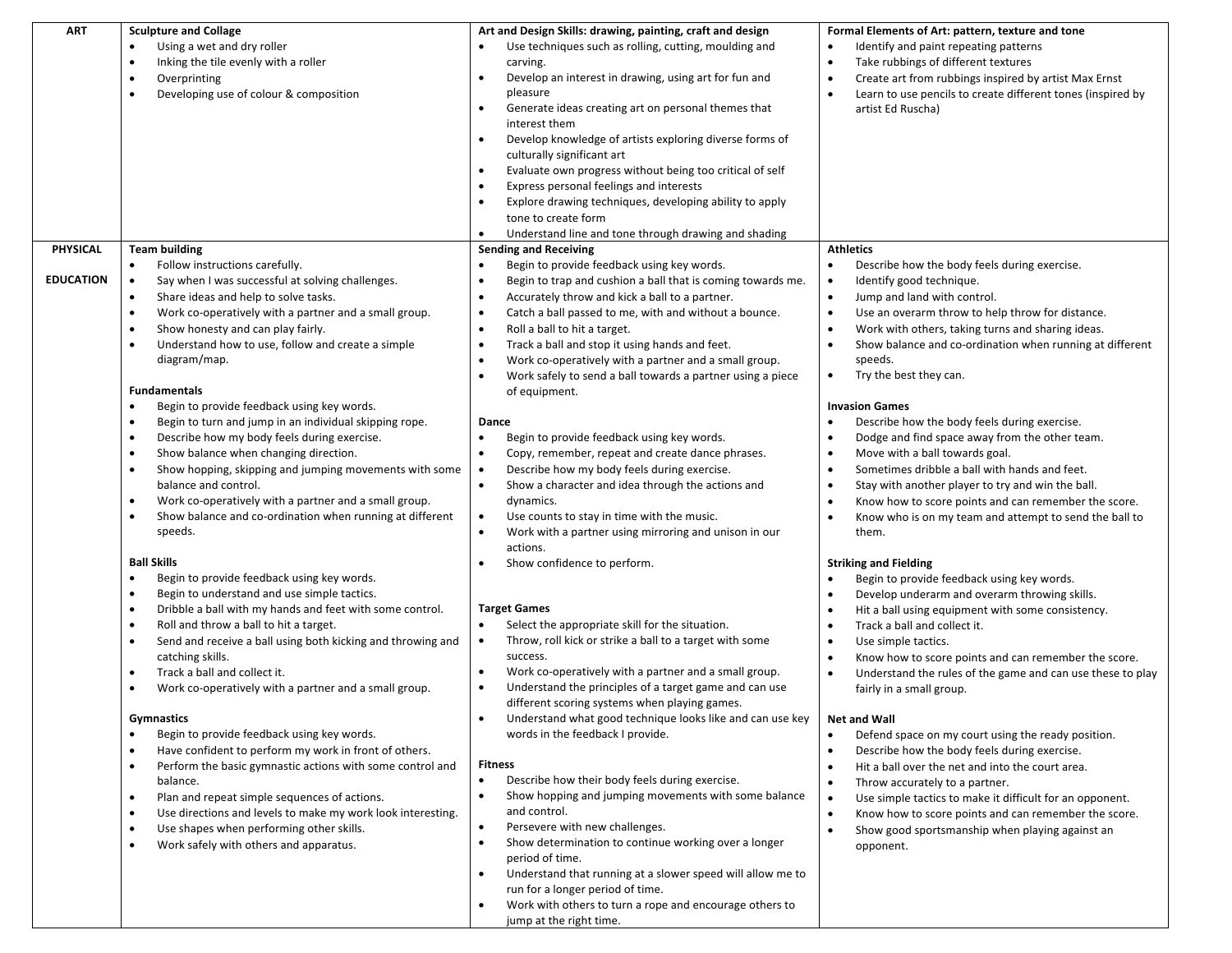| <b>ART</b>       | <b>Sculpture and Collage</b>                                             | Art and Design Skills: drawing, painting, craft and design               | Formal Elements of Art: pattern, texture and tone                        |
|------------------|--------------------------------------------------------------------------|--------------------------------------------------------------------------|--------------------------------------------------------------------------|
|                  | Using a wet and dry roller                                               | Use techniques such as rolling, cutting, moulding and                    | Identify and paint repeating patterns                                    |
|                  | Inking the tile evenly with a roller<br>$\bullet$                        | carving.                                                                 | Take rubbings of different textures<br>$\bullet$                         |
|                  | Overprinting<br>$\bullet$                                                | Develop an interest in drawing, using art for fun and<br>$\bullet$       | Create art from rubbings inspired by artist Max Ernst<br>$\bullet$       |
|                  | Developing use of colour & composition<br>$\bullet$                      | pleasure                                                                 | $\bullet$<br>Learn to use pencils to create different tones (inspired by |
|                  |                                                                          | Generate ideas creating art on personal themes that<br>$\bullet$         | artist Ed Ruscha)                                                        |
|                  |                                                                          | interest them                                                            |                                                                          |
|                  |                                                                          | Develop knowledge of artists exploring diverse forms of                  |                                                                          |
|                  |                                                                          | culturally significant art                                               |                                                                          |
|                  |                                                                          | Evaluate own progress without being too critical of self<br>$\bullet$    |                                                                          |
|                  |                                                                          | Express personal feelings and interests                                  |                                                                          |
|                  |                                                                          | Explore drawing techniques, developing ability to apply<br>$\bullet$     |                                                                          |
|                  |                                                                          | tone to create form                                                      |                                                                          |
|                  |                                                                          | Understand line and tone through drawing and shading                     |                                                                          |
| PHYSICAL         | <b>Team building</b>                                                     | <b>Sending and Receiving</b>                                             | <b>Athletics</b>                                                         |
|                  | Follow instructions carefully.<br>$\bullet$                              | Begin to provide feedback using key words.<br>$\bullet$                  | Describe how the body feels during exercise.<br>$\bullet$                |
| <b>EDUCATION</b> | Say when I was successful at solving challenges.<br>$\bullet$            | Begin to trap and cushion a ball that is coming towards me.<br>$\bullet$ | Identify good technique.<br>$\bullet$                                    |
|                  | Share ideas and help to solve tasks.<br>$\bullet$                        | $\bullet$<br>Accurately throw and kick a ball to a partner.              | Jump and land with control.<br>$\bullet$                                 |
|                  | Work co-operatively with a partner and a small group.<br>$\bullet$       | Catch a ball passed to me, with and without a bounce.<br>$\bullet$       | Use an overarm throw to help throw for distance.<br>$\bullet$            |
|                  | Show honesty and can play fairly.<br>$\bullet$                           | Roll a ball to hit a target.<br>$\bullet$                                | Work with others, taking turns and sharing ideas.<br>$\bullet$           |
|                  | Understand how to use, follow and create a simple<br>$\bullet$           | $\bullet$<br>Track a ball and stop it using hands and feet.              | $\bullet$<br>Show balance and co-ordination when running at different    |
|                  | diagram/map.                                                             | Work co-operatively with a partner and a small group.<br>$\bullet$       | speeds.                                                                  |
|                  |                                                                          | Work safely to send a ball towards a partner using a piece               | Try the best they can.<br>$\bullet$                                      |
|                  | <b>Fundamentals</b>                                                      | of equipment.                                                            |                                                                          |
|                  | Begin to provide feedback using key words.<br>$\bullet$                  |                                                                          | <b>Invasion Games</b>                                                    |
|                  | Begin to turn and jump in an individual skipping rope.                   | Dance                                                                    | Describe how the body feels during exercise.                             |
|                  | Describe how my body feels during exercise.<br>$\bullet$                 | $\bullet$<br>Begin to provide feedback using key words.                  | Dodge and find space away from the other team.<br>$\bullet$              |
|                  | Show balance when changing direction.<br>$\bullet$                       | Copy, remember, repeat and create dance phrases.<br>$\bullet$            | Move with a ball towards goal.<br>$\bullet$                              |
|                  | Show hopping, skipping and jumping movements with some<br>$\bullet$      | Describe how my body feels during exercise.                              | Sometimes dribble a ball with hands and feet.<br>$\bullet$               |
|                  | balance and control.                                                     | Show a character and idea through the actions and<br>$\bullet$           | Stay with another player to try and win the ball.<br>$\bullet$           |
|                  | Work co-operatively with a partner and a small group.<br>$\bullet$       | dynamics.                                                                | Know how to score points and can remember the score.<br>$\bullet$        |
|                  | Show balance and co-ordination when running at different<br>٠            | Use counts to stay in time with the music.                               | Know who is on my team and attempt to send the ball to<br>$\bullet$      |
|                  | speeds.                                                                  | Work with a partner using mirroring and unison in our<br>$\bullet$       | them.                                                                    |
|                  |                                                                          | actions.                                                                 |                                                                          |
|                  | <b>Ball Skills</b>                                                       | Show confidence to perform.                                              | <b>Striking and Fielding</b>                                             |
|                  | Begin to provide feedback using key words.<br>$\bullet$                  |                                                                          | Begin to provide feedback using key words.                               |
|                  | Begin to understand and use simple tactics.<br>$\bullet$                 |                                                                          | Develop underarm and overarm throwing skills.<br>$\bullet$               |
|                  | Dribble a ball with my hands and feet with some control.<br>$\bullet$    | <b>Target Games</b>                                                      | Hit a ball using equipment with some consistency.                        |
|                  | Roll and throw a ball to hit a target.<br>$\bullet$                      | $\bullet$<br>Select the appropriate skill for the situation.             | Track a ball and collect it.<br>$\bullet$                                |
|                  | Send and receive a ball using both kicking and throwing and<br>$\bullet$ | Throw, roll kick or strike a ball to a target with some<br>$\bullet$     | Use simple tactics.<br>$\bullet$                                         |
|                  | catching skills.                                                         | success.                                                                 | Know how to score points and can remember the score.<br>$\bullet$        |
|                  | Track a ball and collect it.<br>$\bullet$                                | Work co-operatively with a partner and a small group.<br>$\bullet$       | $\bullet$<br>Understand the rules of the game and can use these to play  |
|                  | Work co-operatively with a partner and a small group.<br>$\bullet$       | Understand the principles of a target game and can use<br>$\bullet$      | fairly in a small group.                                                 |
|                  |                                                                          | different scoring systems when playing games.                            |                                                                          |
|                  | Gymnastics                                                               | Understand what good technique looks like and can use key                | Net and Wall                                                             |
|                  | Begin to provide feedback using key words.<br>$\bullet$                  | words in the feedback I provide.                                         | Defend space on my court using the ready position.                       |
|                  | Have confident to perform my work in front of others.<br>$\bullet$       | <b>Fitness</b>                                                           | Describe how the body feels during exercise.<br>$\bullet$                |
|                  | Perform the basic gymnastic actions with some control and<br>$\bullet$   | Describe how their body feels during exercise.<br>$\bullet$              | Hit a ball over the net and into the court area.<br>$\bullet$            |
|                  | balance.<br>Plan and repeat simple sequences of actions.<br>$\bullet$    | Show hopping and jumping movements with some balance<br>$\bullet$        | Throw accurately to a partner.<br>$\bullet$                              |
|                  | Use directions and levels to make my work look interesting.<br>$\bullet$ | and control.                                                             | Use simple tactics to make it difficult for an opponent.                 |
|                  | Use shapes when performing other skills.<br>$\bullet$                    | Persevere with new challenges.<br>$\bullet$                              | Know how to score points and can remember the score.<br>$\bullet$        |
|                  | Work safely with others and apparatus.<br>$\bullet$                      | Show determination to continue working over a longer                     | Show good sportsmanship when playing against an<br>$\bullet$             |
|                  |                                                                          | period of time.                                                          | opponent.                                                                |
|                  |                                                                          | Understand that running at a slower speed will allow me to<br>$\bullet$  |                                                                          |
|                  |                                                                          | run for a longer period of time.                                         |                                                                          |
|                  |                                                                          | Work with others to turn a rope and encourage others to                  |                                                                          |
|                  |                                                                          | jump at the right time.                                                  |                                                                          |